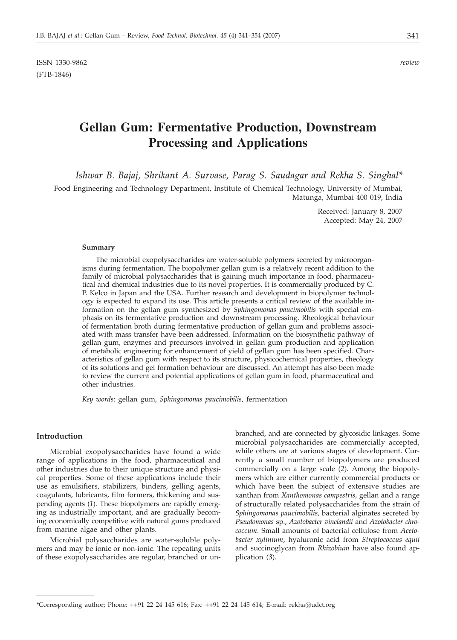ISSN 1330-9862 *review* (FTB-1846)

# **Gellan Gum: Fermentative Production, Downstream Processing and Applications**

*Ishwar B. Bajaj, Shrikant A. Survase, Parag S. Saudagar and Rekha S. Singhal\**

Food Engineering and Technology Department, Institute of Chemical Technology, University of Mumbai, Matunga, Mumbai 400 019, India

> Received: January 8, 2007 Accepted: May 24, 2007

#### **Summary**

The microbial exopolysaccharides are water-soluble polymers secreted by microorganisms during fermentation. The biopolymer gellan gum is a relatively recent addition to the family of microbial polysaccharides that is gaining much importance in food, pharmaceutical and chemical industries due to its novel properties. It is commercially produced by C. P. Kelco in Japan and the USA. Further research and development in biopolymer technology is expected to expand its use. This article presents a critical review of the available information on the gellan gum synthesized by *Sphingomonas paucimobilis* with special emphasis on its fermentative production and downstream processing. Rheological behaviour of fermentation broth during fermentative production of gellan gum and problems associated with mass transfer have been addressed. Information on the biosynthetic pathway of gellan gum, enzymes and precursors involved in gellan gum production and application of metabolic engineering for enhancement of yield of gellan gum has been specified. Characteristics of gellan gum with respect to its structure, physicochemical properties, rheology of its solutions and gel formation behaviour are discussed. An attempt has also been made to review the current and potential applications of gellan gum in food, pharmaceutical and other industries.

*Key words*: gellan gum, *Sphingomonas paucimobilis*, fermentation

# **Introduction**

Microbial exopolysaccharides have found a wide range of applications in the food, pharmaceutical and other industries due to their unique structure and physical properties. Some of these applications include their use as emulsifiers, stabilizers, binders, gelling agents, coagulants, lubricants, film formers, thickening and suspending agents (*1*). These biopolymers are rapidly emerging as industrially important, and are gradually becoming economically competitive with natural gums produced from marine algae and other plants.

Microbial polysaccharides are water-soluble polymers and may be ionic or non-ionic. The repeating units of these exopolysaccharides are regular, branched or unbranched, and are connected by glycosidic linkages. Some microbial polysaccharides are commercially accepted, while others are at various stages of development. Currently a small number of biopolymers are produced commercially on a large scale (*2*). Among the biopolymers which are either currently commercial products or which have been the subject of extensive studies are xanthan from *Xanthomonas campestris*, gellan and a range of structurally related polysaccharides from the strain of *Sphingomonas paucimobilis,* bacterial alginates secreted by *Pseudomonas* sp., *Azotobacter vinelandii* and *Azotobacter chrococcum*. Small amounts of bacterial cellulose from *Acetobacter xylinium*, hyaluronic acid from *Streptococcus equii* and succinoglycan from *Rhizobium* have also found application (*3*).

<sup>\*</sup>Corresponding author; Phone:  $++91$  22 24 145 616; Fax:  $++91$  22 24 145 614; E-mail: rekha@udct.org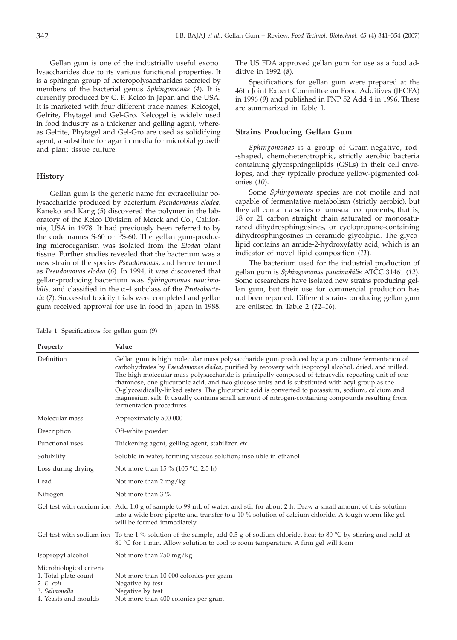Gellan gum is one of the industrially useful exopolysaccharides due to its various functional properties. It is a sphingan group of heteropolysaccharides secreted by members of the bacterial genus *Sphingomonas* (*4*). It is currently produced by C. P. Kelco in Japan and the USA. It is marketed with four different trade names: Kelcogel, Gelrite, Phytagel and Gel-Gro. Kelcogel is widely used in food industry as a thickener and gelling agent, whereas Gelrite, Phytagel and Gel-Gro are used as solidifying agent, a substitute for agar in media for microbial growth and plant tissue culture.

# **History**

Gellan gum is the generic name for extracellular polysaccharide produced by bacterium *Pseudomonas elodea.* Kaneko and Kang (*5*) discovered the polymer in the laboratory of the Kelco Division of Merck and Co., California, USA in 1978. It had previously been referred to by the code names S-60 or PS-60. The gellan gum-producing microorganism was isolated from the *Elodea* plant tissue. Further studies revealed that the bacterium was a new strain of the species *Pseudomonas,* and hence termed as *Pseudomonas elodea* (*6*). In 1994, it was discovered that gellan-producing bacterium was *Sphingomonas paucimobilis,* and classified in the a-4 subclass of the *Proteobacteria* (*7*). Successful toxicity trials were completed and gellan gum received approval for use in food in Japan in 1988.

The US FDA approved gellan gum for use as a food additive in 1992 (*8*).

Specifications for gellan gum were prepared at the 46th Joint Expert Committee on Food Additives (JECFA) in 1996 (*9*) and published in FNP 52 Add 4 in 1996. These are summarized in Table 1.

# **Strains Producing Gellan Gum**

*Sphingomonas* is a group of Gram-negative, rod- -shaped, chemoheterotrophic, strictly aerobic bacteria containing glycosphingolipids (GSLs) in their cell envelopes, and they typically produce yellow-pigmented colonies (*10*).

Some *Sphingomonas* species are not motile and not capable of fermentative metabolism (strictly aerobic), but they all contain a series of unusual components, that is, 18 or 21 carbon straight chain saturated or monosaturated dihydrosphingosines, or cyclopropane-containing dihydrosphingosines in ceramide glycolipid. The glycolipid contains an amide-2-hydroxyfatty acid, which is an indicator of novel lipid composition (*11*).

The bacterium used for the industrial production of gellan gum is *Sphingomonas paucimobilis* ATCC 31461 (*12*). Some researchers have isolated new strains producing gellan gum, but their use for commercial production has not been reported. Different strains producing gellan gum are enlisted in Table 2 (*12*–*16*).

| Table 1. Specifications for gellan gum (9) |  |  |  |  |  |
|--------------------------------------------|--|--|--|--|--|
|--------------------------------------------|--|--|--|--|--|

| Property                                                                                                  | Value                                                                                                                                                                                                                                                                                                                                                                                                                                                                                                                                                                                                                                                 |
|-----------------------------------------------------------------------------------------------------------|-------------------------------------------------------------------------------------------------------------------------------------------------------------------------------------------------------------------------------------------------------------------------------------------------------------------------------------------------------------------------------------------------------------------------------------------------------------------------------------------------------------------------------------------------------------------------------------------------------------------------------------------------------|
| Definition                                                                                                | Gellan gum is high molecular mass polysaccharide gum produced by a pure culture fermentation of<br>carbohydrates by Pseudomonas elodea, purified by recovery with isopropyl alcohol, dried, and milled.<br>The high molecular mass polysaccharide is principally composed of tetracyclic repeating unit of one<br>rhamnose, one glucuronic acid, and two glucose units and is substituted with acyl group as the<br>O-glycosidically-linked esters. The glucuronic acid is converted to potassium, sodium, calcium and<br>magnesium salt. It usually contains small amount of nitrogen-containing compounds resulting from<br>fermentation procedures |
| Molecular mass                                                                                            | Approximately 500 000                                                                                                                                                                                                                                                                                                                                                                                                                                                                                                                                                                                                                                 |
| Description                                                                                               | Off-white powder                                                                                                                                                                                                                                                                                                                                                                                                                                                                                                                                                                                                                                      |
| Functional uses                                                                                           | Thickening agent, gelling agent, stabilizer, etc.                                                                                                                                                                                                                                                                                                                                                                                                                                                                                                                                                                                                     |
| Solubility                                                                                                | Soluble in water, forming viscous solution; insoluble in ethanol                                                                                                                                                                                                                                                                                                                                                                                                                                                                                                                                                                                      |
| Loss during drying                                                                                        | Not more than 15 % (105 °C, 2.5 h)                                                                                                                                                                                                                                                                                                                                                                                                                                                                                                                                                                                                                    |
| Lead                                                                                                      | Not more than $2 \text{ mg/kg}$                                                                                                                                                                                                                                                                                                                                                                                                                                                                                                                                                                                                                       |
| Nitrogen                                                                                                  | Not more than 3 %                                                                                                                                                                                                                                                                                                                                                                                                                                                                                                                                                                                                                                     |
|                                                                                                           | Gel test with calcium ion Add 1.0 g of sample to 99 mL of water, and stir for about 2 h. Draw a small amount of this solution<br>into a wide bore pipette and transfer to a 10 % solution of calcium chloride. A tough worm-like gel<br>will be formed immediately                                                                                                                                                                                                                                                                                                                                                                                    |
|                                                                                                           | Gel test with sodium ion To the 1 % solution of the sample, add 0.5 g of sodium chloride, heat to 80 °C by stirring and hold at<br>80 °C for 1 min. Allow solution to cool to room temperature. A firm gel will form                                                                                                                                                                                                                                                                                                                                                                                                                                  |
| Isopropyl alcohol                                                                                         | Not more than $750 \text{ mg/kg}$                                                                                                                                                                                                                                                                                                                                                                                                                                                                                                                                                                                                                     |
| Microbiological criteria<br>1. Total plate count<br>$2. E.$ coli<br>3. Salmonella<br>4. Yeasts and moulds | Not more than 10 000 colonies per gram<br>Negative by test<br>Negative by test<br>Not more than 400 colonies per gram                                                                                                                                                                                                                                                                                                                                                                                                                                                                                                                                 |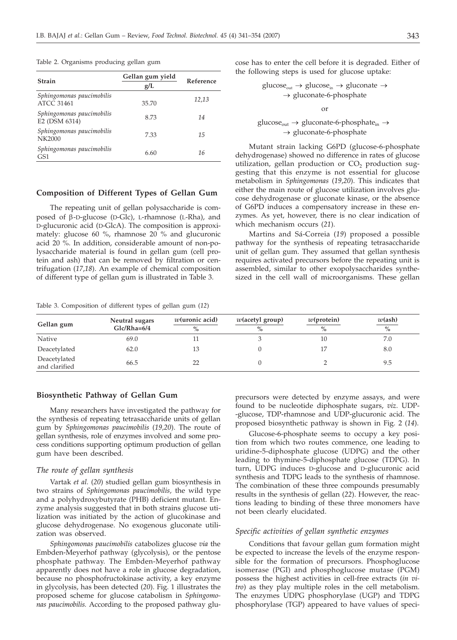Table 2. Organisms producing gellan gum

| <b>Strain</b>                                | Gellan gum yield<br>g/L | Reference |
|----------------------------------------------|-------------------------|-----------|
| Sphingomonas paucimobilis<br>ATCC 31461      | 35.70                   | 12,13     |
| Sphingomonas paucimobilis<br>E2 (DSM 6314)   | 8.73                    | 14        |
| Sphingomonas paucimobilis<br>NK2000          | 7.33                    | 15        |
| Sphingomonas paucimobilis<br>GS <sub>1</sub> | 6.60                    | 16        |

### **Composition of Different Types of Gellan Gum**

The repeating unit of gellan polysaccharide is composed of  $\beta$ -D-glucose (D-Glc), L-rhamnose (L-Rha), and D-glucuronic acid (D-GlcA). The composition is approximately: glucose 60 %, rhamnose 20 % and glucuronic acid 20 %. In addition, considerable amount of non-polysaccharide material is found in gellan gum (cell protein and ash) that can be removed by filtration or centrifugation (*17*,*18*). An example of chemical composition of different type of gellan gum is illustrated in Table 3.

Table 3. Composition of different types of gellan gum (*12*)

cose has to enter the cell before it is degraded. Either of the following steps is used for glucose uptake:

> $glucose_{out} \rightarrow glucose_{in} \rightarrow glucose$  $\rightarrow$  gluconate-6-phosphate or

# glucose<sub>out</sub>  $\rightarrow$  gluconate-6-phosphate<sub>in</sub>  $\rightarrow$  $\rightarrow$  gluconate-6-phosphate

Mutant strain lacking G6PD (glucose-6-phosphate dehydrogenase) showed no difference in rates of glucose utilization, gellan production or  $CO<sub>2</sub>$  production suggesting that this enzyme is not essential for glucose metabolism in *Sphingomonas* (*19*,*20*). This indicates that either the main route of glucose utilization involves glucose dehydrogenase or gluconate kinase, or the absence of G6PD induces a compensatory increase in these enzymes. As yet, however, there is no clear indication of which mechanism occurs (*21*).

Martins and Sá-Correia (*19*) proposed a possible pathway for the synthesis of repeating tetrasaccharide unit of gellan gum. They assumed that gellan synthesis requires activated precursors before the repeating unit is assembled, similar to other exopolysaccharides synthesized in the cell wall of microorganisms. These gellan

| Gellan gum                    | Neutral sugars<br>$Glc/Rha=6/4$ | $w$ (uronic acid)<br>$\frac{0}{0}$ | $w$ (acetyl group)<br>$\%$ | $w$ (protein)<br>$\frac{0}{0}$ | $w(\text{ash})$<br>$\%$ |
|-------------------------------|---------------------------------|------------------------------------|----------------------------|--------------------------------|-------------------------|
| Native                        | 69.0                            |                                    |                            | 10                             | 7.0                     |
| Deacetylated                  | 62.0                            | 13                                 |                            |                                | 8.0                     |
| Deacetylated<br>and clarified | 66.5                            | 22                                 |                            |                                | 9.5                     |

### **Biosynthetic Pathway of Gellan Gum**

Many researchers have investigated the pathway for the synthesis of repeating tetrasaccharide units of gellan gum by *Sphingomonas paucimobilis* (*19,20*). The route of gellan synthesis, role of enzymes involved and some process conditions supporting optimum production of gellan gum have been described.

# *The route of gellan synthesis*

Vartak *et al.* (*20*) studied gellan gum biosynthesis in two strains of *Sphingomonas paucimobilis,* the wild type and a polyhydroxybutyrate (PHB) deficient mutant. Enzyme analysis suggested that in both strains glucose utilization was initiated by the action of glucokinase and glucose dehydrogenase. No exogenous gluconate utilization was observed.

*Sphingomonas paucimobilis* catabolizes glucose *via* the Embden-Meyerhof pathway (glycolysis), or the pentose phosphate pathway. The Embden-Meyerhof pathway apparently does not have a role in glucose degradation, because no phosphofructokinase activity, a key enzyme in glycolysis, has been detected (*20*). Fig. 1 illustrates the proposed scheme for glucose catabolism in *Sphingomonas paucimobilis.* According to the proposed pathway glu-

precursors were detected by enzyme assays, and were found to be nucleotide diphosphate sugars, *viz*. UDP- -glucose, TDP-rhamnose and UDP-glucuronic acid. The proposed biosynthetic pathway is shown in Fig. 2 (*14*).

Glucose-6-phosphate seems to occupy a key position from which two routes commence, one leading to uridine-5-diphosphate glucose (UDPG) and the other leading to thymine-5-diphosphate glucose (TDPG). In turn, UDPG induces D-glucose and D-glucuronic acid synthesis and TDPG leads to the synthesis of rhamnose. The combination of these three compounds presumably results in the synthesis of gellan (*22*). However, the reactions leading to binding of these three monomers have not been clearly elucidated.

# *Specific activities of gellan synthetic enzymes*

Conditions that favour gellan gum formation might be expected to increase the levels of the enzyme responsible for the formation of precursors. Phosphoglucose isomerase (PGI) and phosphoglucose mutase (PGM) possess the highest activities in cell-free extracts (*in vitro*) as they play multiple roles in the cell metabolism. The enzymes UDPG phosphorylase (UGP) and TDPG phosphorylase (TGP) appeared to have values of speci-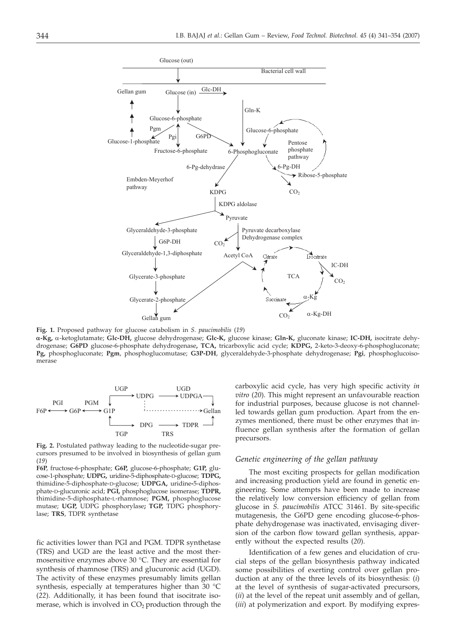

**Fig. 1.** Proposed pathway for glucose catabolism in *S. paucimobilis* (*19*)

**a-Kg,** a-ketoglutamate; **Glc-DH,** glucose dehydrogenase; **Glc-K,** glucose kinase; **Gln-K,** gluconate kinase; **IC-DH,** isocitrate dehydrogenase; **G6PD** glucose-6-phosphate dehydrogenase**, TCA,** tricarboxylic acid cycle; **KDPG,** 2-keto-3-deoxy-6-phosphogluconate; **Pg,** phosphogluconate; **Pgm**, phosphoglucomutase; **G3P-DH**, glyceraldehyde-3-phosphate dehydrogenase; **Pgi**, phosphoglucoisomerase



**Fig. 2.** Postulated pathway leading to the nucleotide-sugar precursors presumed to be involved in biosynthesis of gellan gum (*19*)

**F6P**, fructose-6-phosphate; **G6P,** glucose-6-phosphate; **G1P,** glucose-1-phosphate; **UDPG,** uridine-5-diphosphate-D-glucose; **TDPG,** thimidine-5-diphosphate-D-glucose; **UDPGA,** uridine**-**5-diphosphate-D-glucuronic acid; **PGI,** phosphoglucose isomerase; **TDPR,** thimidine-5-diphosphate-L-rhamnose; **PGM,** phosphoglucose mutase; **UGP,** UDPG phosphorylase**; TGP,** TDPG phosphorylase; **TRS**, TDPR synthetase

fic activities lower than PGI and PGM. TDPR synthetase (TRS) and UGD are the least active and the most thermosensitive enzymes above 30 °C. They are essential for synthesis of rhamnose (TRS) and glucuronic acid (UGD). The activity of these enzymes presumably limits gellan synthesis, especially at temperatures higher than 30 °C (*22*). Additionally, it has been found that isocitrate isomerase, which is involved in  $CO<sub>2</sub>$  production through the carboxylic acid cycle, has very high specific activity *in vitro* (*20*). This might represent an unfavourable reaction for industrial purposes, because glucose is not channelled towards gellan gum production. Apart from the enzymes mentioned, there must be other enzymes that influence gellan synthesis after the formation of gellan precursors.

# *Genetic engineering of the gellan pathway*

The most exciting prospects for gellan modification and increasing production yield are found in genetic engineering. Some attempts have been made to increase the relatively low conversion efficiency of gellan from glucose in *S. paucimobilis* ATCC 31461. By site-specific mutagenesis, the G6PD gene encoding glucose-6-phosphate dehydrogenase was inactivated, envisaging diversion of the carbon flow toward gellan synthesis, apparently without the expected results (*20*).

Identification of a few genes and elucidation of crucial steps of the gellan biosynthesis pathway indicated some possibilities of exerting control over gellan production at any of the three levels of its biosynthesis: (*i*) at the level of synthesis of sugar-activated precursors, (*ii*) at the level of the repeat unit assembly and of gellan, (*iii*) at polymerization and export. By modifying expres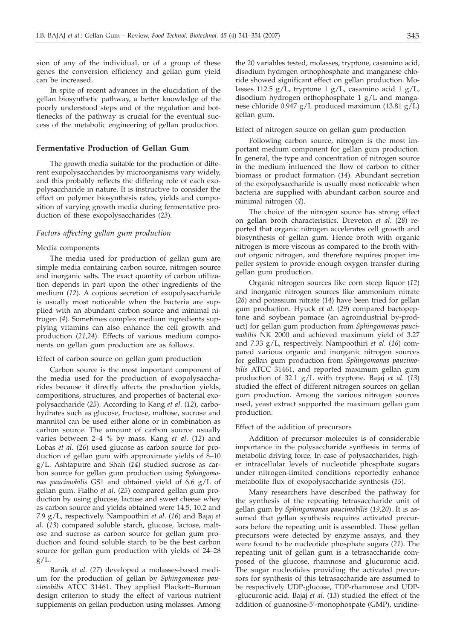sion of any of the individual, or of a group of these genes the conversion efficiency and gellan gum yield can be increased.

In spite of recent advances in the elucidation of the gellan biosynthetic pathway, a better knowledge of the poorly understood steps and of the regulation and bottlenecks of the pathway is crucial for the eventual success of the metabolic engineering of gellan production.

# **Fermentative Production of Gellan Gum**

The growth media suitable for the production of different exopolysaccharides by microorganisms vary widely, and this probably reflects the differing role of each exopolysaccharide in nature. It is instructive to consider the effect on polymer biosynthesis rates, yields and composition of varying growth media during fermentative production of these exopolysaccharides (*23*).

# *Factors affecting gellan gum production*

# Media components

The media used for production of gellan gum are simple media containing carbon source, nitrogen source and inorganic salts. The exact quantity of carbon utilization depends in part upon the other ingredients of the medium (*12*). A copious secretion of exopolysaccharide is usually most noticeable when the bacteria are supplied with an abundant carbon source and minimal nitrogen (*4*). Sometimes complex medium ingredients supplying vitamins can also enhance the cell growth and production (*21,24*). Effects of various medium components on gellan gum production are as follows.

### Effect of carbon source on gellan gum production

Carbon source is the most important component of the media used for the production of exopolysaccharides because it directly affects the production yields, compositions, structures, and properties of bacterial exopolysaccharide (*25*). According to Kang *et al*. (*12*), carbohydrates such as glucose, fructose, maltose, sucrose and mannitol can be used either alone or in combination as carbon source. The amount of carbon source usually varies between 2–4 % by mass. Kang *et al*. (*12*) and Lobas *et al*. (*26*) used glucose as carbon source for production of gellan gum with approximate yields of 8–10 g/L. Ashtaputre and Shah (*14*) studied sucrose as carbon source for gellan gum production using *Sphingomonas paucimobilis* GS1 and obtained yield of 6.6 g/L of gellan gum. Fialho *et al*. (*25*) compared gellan gum production by using glucose, lactose and sweet cheese whey as carbon source and yields obtained were 14.5, 10.2 and 7.9 g/L, respectively. Nampoothiri *et al*. (*16*) and Bajaj *et al*. (*13*) compared soluble starch, glucose, lactose, maltose and sucrose as carbon source for gellan gum production and found soluble starch to be the best carbon source for gellan gum production with yields of 24–28  $g/L$ .

Banik *et al*. (*27*) developed a molasses-based medium for the production of gellan by *Sphingomonas paucimobilis* ATCC 31461. They applied Plackett–Burman design criterion to study the effect of various nutrient supplements on gellan production using molasses. Among

the 20 variables tested, molasses, tryptone, casamino acid, disodium hydrogen orthophosphate and manganese chloride showed significant effect on gellan production. Molasses 112.5 g/L, tryptone 1 g/L, casamino acid 1 g/L, disodium hydrogen orthophosphate 1 g/L and manganese chloride 0.947 g/L produced maximum (13.81 g/L) gellan gum.

Effect of nitrogen source on gellan gum production

Following carbon source, nitrogen is the most important medium component for gellan gum production. In general, the type and concentration of nitrogen source in the medium influenced the flow of carbon to either biomass or product formation (*14*). Abundant secretion of the exopolysaccharide is usually most noticeable when bacteria are supplied with abundant carbon source and minimal nitrogen (*4*).

The choice of the nitrogen source has strong effect on gellan broth characteristics. Dreveton *et al*. (*28*) reported that organic nitrogen accelerates cell growth and biosynthesis of gellan gum. Hence broth with organic nitrogen is more viscous as compared to the broth without organic nitrogen, and therefore requires proper impeller system to provide enough oxygen transfer during gellan gum production.

Organic nitrogen sources like corn steep liquor (*12*) and inorganic nitrogen sources like ammonium nitrate (*26*) and potassium nitrate (*14*) have been tried for gellan gum production. Hyuck *et al*. (*29*) compared bactopeptone and soybean pomace (an agroindustrial by-product) for gellan gum production from *Sphingomonas paucimobilis* NK 2000 and achieved maximum yield of 3.27 and 7.33 g/L, respectively. Nampoothiri *et al*. (*16*) compared various organic and inorganic nitrogen sources for gellan gum production from *Sphingomonas paucimobilis* ATCC 31461, and reported maximum gellan gum production of 32.1 g/L with tryptone. Bajaj *et al*. (*13*) studied the effect of different nitrogen sources on gellan gum production. Among the various nitrogen sources used, yeast extract supported the maximum gellan gum production.

### Effect of the addition of precursors

Addition of precursor molecules is of considerable importance in the polysaccharide synthesis in terms of metabolic driving force. In case of polysaccharides, higher intracellular levels of nucleotide phosphate sugars under nitrogen-limited conditions reportedly enhance metabolite flux of exopolysaccharide synthesis (*15*).

Many researchers have described the pathway for the synthesis of the repeating tetrasaccharide unit of gellan gum by *Sphingomonas paucimobilis* (*19,20*). It is assumed that gellan synthesis requires activated precursors before the repeating unit is assembled. These gellan precursors were detected by enzyme assays, and they were found to be nucleotide phosphate sugars (*21*). The repeating unit of gellan gum is a tetrasaccharide composed of the glucose, rhamnose and glucuronic acid. The sugar nucleotides providing the activated precursors for synthesis of this tetrasaccharide are assumed to be respectively UDP-glucose, TDP-rhamnose and UDP- -glucuronic acid. Bajaj *et al*. (*13*) studied the effect of the addition of guanosine-5'-monophospate (GMP), uridine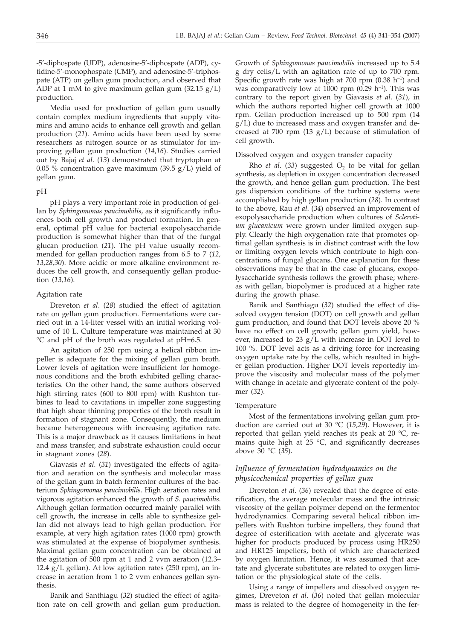-5'-diphospate (UDP), adenosine-5'-diphospate (ADP), cytidine-5'-monophospate (CMP), and adenosine-5'-triphospate (ATP) on gellan gum production, and observed that ADP at 1 mM to give maximum gellan gum (32.15 g/L) production.

Media used for production of gellan gum usually contain complex medium ingredients that supply vitamins and amino acids to enhance cell growth and gellan production (*21*). Amino acids have been used by some researchers as nitrogen source or as stimulator for improving gellan gum production (*14,16*). Studies carried out by Bajaj *et al*. (*13*) demonstrated that tryptophan at 0.05 % concentration gave maximum (39.5  $g/L$ ) yield of gellan gum.

#### pH

pH plays a very important role in production of gellan by *Sphingomonas paucimobilis*, as it significantly influences both cell growth and product formation. In general, optimal pH value for bacterial exopolysaccharide production is somewhat higher than that of the fungal glucan production (*21*). The pH value usually recommended for gellan production ranges from 6.5 to 7 (*12, 13,28,30*). More acidic or more alkaline environment reduces the cell growth, and consequently gellan production (*13,16*).

### Agitation rate

Dreveton *et al*. (*28*) studied the effect of agitation rate on gellan gum production. Fermentations were carried out in a 14-liter vessel with an initial working volume of 10 L. Culture temperature was maintained at 30 °C and pH of the broth was regulated at pH=6.5.

An agitation of 250 rpm using a helical ribbon impeller is adequate for the mixing of gellan gum broth. Lower levels of agitation were insufficient for homogenous conditions and the broth exhibited gelling characteristics. On the other hand, the same authors observed high stirring rates (600 to 800 rpm) with Rushton turbines to lead to cavitations in impeller zone suggesting that high shear thinning properties of the broth result in formation of stagnant zone. Consequently, the medium became heterogeneous with increasing agitation rate. This is a major drawback as it causes limitations in heat and mass transfer, and substrate exhaustion could occur in stagnant zones (*28*).

Giavasis *et al*. (*31*) investigated the effects of agitation and aeration on the synthesis and molecular mass of the gellan gum in batch fermentor cultures of the bacterium *Sphingomonas paucimobilis*. High aeration rates and vigorous agitation enhanced the growth of *S. paucimobilis*. Although gellan formation occurred mainly parallel with cell growth, the increase in cells able to synthesize gellan did not always lead to high gellan production. For example, at very high agitation rates (1000 rpm) growth was stimulated at the expense of biopolymer synthesis. Maximal gellan gum concentration can be obtained at the agitation of 500 rpm at 1 and 2 vvm aeration (12.3– 12.4  $g/L$  gellan). At low agitation rates (250 rpm), an increase in aeration from 1 to 2 vvm enhances gellan synthesis.

Banik and Santhiagu (*32*) studied the effect of agitation rate on cell growth and gellan gum production. Growth of *Sphingomonas paucimobilis* increased up to 5.4 g dry cells/L with an agitation rate of up to 700 rpm. Specific growth rate was high at 700 rpm  $(0.38 \ h^{-1})$  and was comparatively low at 1000 rpm  $(0.29 \text{ h}^{-1})$ . This was contrary to the report given by Giavasis *et al*. (*31*), in which the authors reported higher cell growth at 1000 rpm. Gellan production increased up to 500 rpm (14 g/L) due to increased mass and oxygen transfer and decreased at 700 rpm (13  $g/L$ ) because of stimulation of cell growth.

#### Dissolved oxygen and oxygen transfer capacity

Rho *et al.* (33) suggested  $O<sub>2</sub>$  to be vital for gellan synthesis, as depletion in oxygen concentration decreased the growth, and hence gellan gum production. The best gas dispersion conditions of the turbine systems were accomplished by high gellan production (*28*). In contrast to the above, Rau *et al*. (*34*) observed an improvement of exopolysaccharide production when cultures of *Sclerotium glucanicum* were grown under limited oxygen supply. Clearly the high oxygenation rate that promotes optimal gellan synthesis is in distinct contrast with the low or limiting oxygen levels which contribute to high concentrations of fungal glucans. One explanation for these observations may be that in the case of glucans, exopolysaccharide synthesis follows the growth phase; whereas with gellan, biopolymer is produced at a higher rate during the growth phase.

Banik and Santhiagu (*32*) studied the effect of dissolved oxygen tension (DOT) on cell growth and gellan gum production, and found that DOT levels above 20 % have no effect on cell growth; gellan gum yield, however, increased to 23  $g/L$  with increase in DOT level to 100 %. DOT level acts as a driving force for increasing oxygen uptake rate by the cells, which resulted in higher gellan production. Higher DOT levels reportedly improve the viscosity and molecular mass of the polymer with change in acetate and glycerate content of the polymer (*32*).

### Temperature

Most of the fermentations involving gellan gum production are carried out at 30 °C (*15,29*). However, it is reported that gellan yield reaches its peak at 20 °C, remains quite high at  $25 \text{ °C}$ , and significantly decreases above 30 °C (*35*).

# *Influence of fermentation hydrodynamics on the physicochemical properties of gellan gum*

Dreveton *et al*. (*36*) revealed that the degree of esterification, the average molecular mass and the intrinsic viscosity of the gellan polymer depend on the fermentor hydrodynamics. Comparing several helical ribbon impellers with Rushton turbine impellers, they found that degree of esterification with acetate and glycerate was higher for products produced by process using HR250 and HR125 impellers, both of which are characterized by oxygen limitation. Hence, it was assumed that acetate and glycerate substitutes are related to oxygen limitation or the physiological state of the cells.

Using a range of impellers and dissolved oxygen regimes, Dreveton *et al*. (*36*) noted that gellan molecular mass is related to the degree of homogeneity in the fer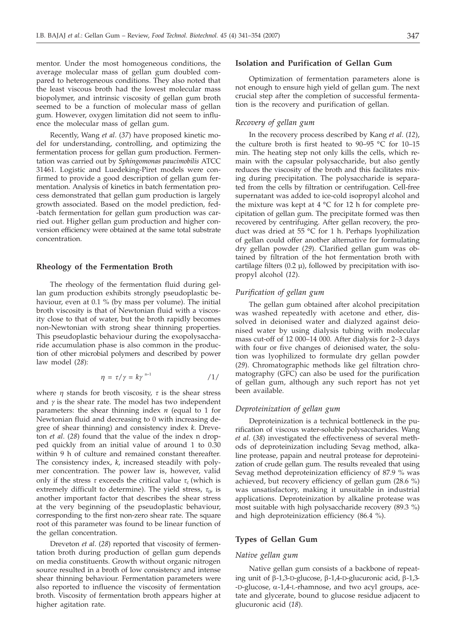mentor. Under the most homogeneous conditions, the average molecular mass of gellan gum doubled compared to heterogeneous conditions. They also noted that the least viscous broth had the lowest molecular mass biopolymer, and intrinsic viscosity of gellan gum broth seemed to be a function of molecular mass of gellan gum. However, oxygen limitation did not seem to influence the molecular mass of gellan gum.

Recently, Wang *et al*. (*37*) have proposed kinetic model for understanding, controlling, and optimizing the fermentation process for gellan gum production. Fermentation was carried out by *Sphingomonas paucimobilis* ATCC 31461. Logistic and Luedeking-Piret models were confirmed to provide a good description of gellan gum fermentation. Analysis of kinetics in batch fermentation process demonstrated that gellan gum production is largely growth associated. Based on the model prediction, fed- -batch fermentation for gellan gum production was carried out. Higher gellan gum production and higher conversion efficiency were obtained at the same total substrate concentration.

# **Rheology of the Fermentation Broth**

The rheology of the fermentation fluid during gellan gum production exhibits strongly pseudoplastic behaviour, even at 0.1 % (by mass per volume). The initial broth viscosity is that of Newtonian fluid with a viscosity close to that of water, but the broth rapidly becomes non-Newtonian with strong shear thinning properties. This pseudoplastic behaviour during the exopolysaccharide accumulation phase is also common in the production of other microbial polymers and described by power law model (*28*):

$$
\eta = \tau / \gamma = k \gamma^{n-1} \qquad \qquad /1/
$$

where  $\eta$  stands for broth viscosity,  $\tau$  is the shear stress and  $\gamma$  is the shear rate. The model has two independent parameters: the shear thinning index *n* (equal to 1 for Newtonian fluid and decreasing to 0 with increasing degree of shear thinning) and consistency index *k*. Dreveton *et al*. (*28*) found that the value of the index n dropped quickly from an initial value of around 1 to 0.30 within 9 h of culture and remained constant thereafter. The consistency index, *k*, increased steadily with polymer concentration. The power law is, however, valid only if the stress  $\tau$  exceeds the critical value  $\tau_c$  (which is extremely difficult to determine). The yield stress,  $\tau_0$ , is another important factor that describes the shear stress at the very beginning of the pseudoplastic behaviour, corresponding to the first non-zero shear rate. The square root of this parameter was found to be linear function of the gellan concentration.

Dreveton *et al*. (*28*) reported that viscosity of fermentation broth during production of gellan gum depends on media constituents. Growth without organic nitrogen source resulted in a broth of low consistency and intense shear thinning behaviour. Fermentation parameters were also reported to influence the viscosity of fermentation broth. Viscosity of fermentation broth appears higher at higher agitation rate.

# **Isolation and Purification of Gellan Gum**

Optimization of fermentation parameters alone is not enough to ensure high yield of gellan gum. The next crucial step after the completion of successful fermentation is the recovery and purification of gellan.

# *Recovery of gellan gum*

In the recovery process described by Kang *et al*. (*12*), the culture broth is first heated to 90–95 °C for 10–15 min. The heating step not only kills the cells, which remain with the capsular polysaccharide, but also gently reduces the viscosity of the broth and this facilitates mixing during precipitation. The polysaccharide is separated from the cells by filtration or centrifugation. Cell-free supernatant was added to ice-cold isopropyl alcohol and the mixture was kept at  $4 °C$  for 12 h for complete precipitation of gellan gum. The precipitate formed was then recovered by centrifuging. After gellan recovery, the product was dried at 55 °C for 1 h. Perhaps lyophilization of gellan could offer another alternative for formulating dry gellan powder (*29*). Clarified gellan gum was obtained by filtration of the hot fermentation broth with cartilage filters  $(0.2 \mu)$ , followed by precipitation with isopropyl alcohol (*12*).

### *Purification of gellan gum*

The gellan gum obtained after alcohol precipitation was washed repeatedly with acetone and ether, dissolved in deionised water and dialyzed against deionised water by using dialysis tubing with molecular mass cut-off of 12 000–14 000. After dialysis for 2–3 days with four or five changes of deionised water, the solution was lyophilized to formulate dry gellan powder (*29*). Chromatographic methods like gel filtration chromatography (GFC) can also be used for the purification of gellan gum, although any such report has not yet been available.

# *Deproteinization of gellan gum*

Deproteinization is a technical bottleneck in the purification of viscous water-soluble polysaccharides. Wang *et al*. (*38*) investigated the effectiveness of several methods of deproteinization including Sevag method, alkaline protease, papain and neutral protease for deproteinization of crude gellan gum. The results revealed that using Sevag method deproteinization efficiency of 87.9 % was achieved, but recovery efficiency of gellan gum (28.6 %) was unsatisfactory, making it unsuitable in industrial applications. Deproteinization by alkaline protease was most suitable with high polysaccharide recovery (89.3 %) and high deproteinization efficiency (86.4 %).

# **Types of Gellan Gum**

#### *Native gellan gum*

Native gellan gum consists of a backbone of repeating unit of  $\beta$ -1,3-D-glucose,  $\beta$ -1,4-D-glucuronic acid,  $\beta$ -1,3- $-D-glu\csc$ ,  $\alpha$ -1,4-L-rhamnose, and two acyl groups, acetate and glycerate, bound to glucose residue adjacent to glucuronic acid (*18*).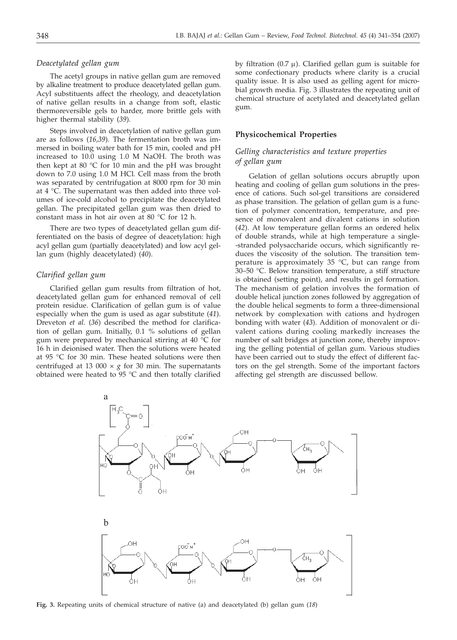# *Deacetylated gellan gum*

The acetyl groups in native gellan gum are removed by alkaline treatment to produce deacetylated gellan gum. Acyl substituents affect the rheology, and deacetylation of native gellan results in a change from soft, elastic thermoreversible gels to harder, more brittle gels with higher thermal stability (*39*).

Steps involved in deacetylation of native gellan gum are as follows (*16,39*). The fermentation broth was immersed in boiling water bath for 15 min, cooled and pH increased to 10.0 using 1.0 M NaOH. The broth was then kept at 80 °C for 10 min and the pH was brought down to 7.0 using 1.0 M HCl. Cell mass from the broth was separated by centrifugation at 8000 rpm for 30 min at 4 °C. The supernatant was then added into three volumes of ice-cold alcohol to precipitate the deacetylated gellan. The precipitated gellan gum was then dried to constant mass in hot air oven at 80 °C for 12 h.

There are two types of deacetylated gellan gum differentiated on the basis of degree of deacetylation: high acyl gellan gum (partially deacetylated) and low acyl gellan gum (highly deacetylated) (*40*).

### *Clarified gellan gum*

Clarified gellan gum results from filtration of hot, deacetylated gellan gum for enhanced removal of cell protein residue. Clarification of gellan gum is of value especially when the gum is used as agar substitute (*41*). Dreveton *et al.* (*36*) described the method for clarification of gellan gum. Initially, 0.1 % solutions of gellan gum were prepared by mechanical stirring at 40 °C for 16 h in deionised water. Then the solutions were heated at 95 °C for 30 min. These heated solutions were then centrifuged at 13 000  $\times$  *g* for 30 min. The supernatants obtained were heated to 95 °C and then totally clarified

by filtration (0.7  $\mu$ ). Clarified gellan gum is suitable for some confectionary products where clarity is a crucial quality issue. It is also used as gelling agent for microbial growth media. Fig. 3 illustrates the repeating unit of chemical structure of acetylated and deacetylated gellan gum.

# **Physicochemical Properties**

# *Gelling characteristics and texture properties of gellan gum*

Gelation of gellan solutions occurs abruptly upon heating and cooling of gellan gum solutions in the presence of cations. Such sol-gel transitions are considered as phase transition. The gelation of gellan gum is a function of polymer concentration, temperature, and presence of monovalent and divalent cations in solution (*42*). At low temperature gellan forms an ordered helix of double strands, while at high temperature a single- -stranded polysaccharide occurs, which significantly reduces the viscosity of the solution. The transition temperature is approximately 35 °C, but can range from 30–50 °C. Below transition temperature, a stiff structure is obtained (setting point), and results in gel formation. The mechanism of gelation involves the formation of double helical junction zones followed by aggregation of the double helical segments to form a three-dimensional network by complexation with cations and hydrogen bonding with water (*43*). Addition of monovalent or divalent cations during cooling markedly increases the number of salt bridges at junction zone, thereby improving the gelling potential of gellan gum. Various studies have been carried out to study the effect of different factors on the gel strength. Some of the important factors affecting gel strength are discussed bellow.



**Fig. 3.** Repeating units of chemical structure of native (a) and deacetylated (b) gellan gum (*18*)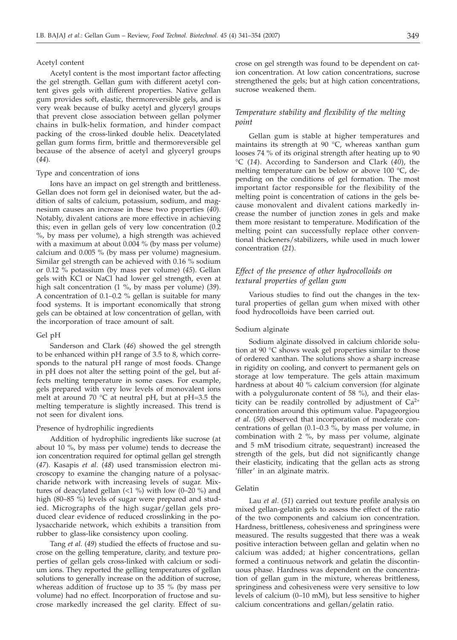# Acetyl content

Acetyl content is the most important factor affecting the gel strength. Gellan gum with different acetyl content gives gels with different properties. Native gellan gum provides soft, elastic, thermoreversible gels, and is very weak because of bulky acetyl and glyceryl groups that prevent close association between gellan polymer chains in bulk-helix formation, and hinder compact packing of the cross-linked double helix. Deacetylated gellan gum forms firm, brittle and thermoreversible gel because of the absence of acetyl and glyceryl groups (*44*).

#### Type and concentration of ions

Ions have an impact on gel strength and brittleness. Gellan does not form gel in deionised water, but the addition of salts of calcium, potassium, sodium, and magnesium causes an increase in these two properties (*40*). Notably, divalent cations are more effective in achieving this; even in gellan gels of very low concentration (0.2 %, by mass per volume), a high strength was achieved with a maximum at about 0.004 % (by mass per volume) calcium and 0.005 % (by mass per volume) magnesium. Similar gel strength can be achieved with 0.16 % sodium or 0.12 % potassium (by mass per volume) (*45*). Gellan gels with KCl or NaCl had lower gel strength, even at high salt concentration (1 %, by mass per volume) (*39*). A concentration of 0.1–0.2 % gellan is suitable for many food systems. It is important economically that strong gels can be obtained at low concentration of gellan, with the incorporation of trace amount of salt.

### Gel pH

Sanderson and Clark (*46*) showed the gel strength to be enhanced within pH range of 3.5 to 8, which corresponds to the natural pH range of most foods. Change in pH does not alter the setting point of the gel, but affects melting temperature in some cases. For example, gels prepared with very low levels of monovalent ions melt at around 70 °C at neutral pH, but at pH=3.5 the melting temperature is slightly increased. This trend is not seen for divalent ions.

#### Presence of hydrophilic ingredients

Addition of hydrophilic ingredients like sucrose (at about 10 %, by mass per volume) tends to decrease the ion concentration required for optimal gellan gel strength (*47*). Kasapis *et al*. (*48*) used transmission electron microscopy to examine the changing nature of a polysaccharide network with increasing levels of sugar. Mixtures of deacylated gellan  $\left($  <1 %) with low  $\left($ 0–20 %) and high (80–85 %) levels of sugar were prepared and studied. Micrographs of the high sugar/gellan gels produced clear evidence of reduced crosslinking in the polysaccharide network, which exhibits a transition from rubber to glass-like consistency upon cooling.

Tang *et al*. (*49*) studied the effects of fructose and sucrose on the gelling temperature, clarity, and texture properties of gellan gels cross-linked with calcium or sodium ions. They reported the gelling temperatures of gellan solutions to generally increase on the addition of sucrose, whereas addition of fructose up to 35 % (by mass per volume) had no effect. Incorporation of fructose and sucrose markedly increased the gel clarity. Effect of sucrose on gel strength was found to be dependent on cation concentration. At low cation concentrations, sucrose strengthened the gels; but at high cation concentrations, sucrose weakened them.

# *Temperature stability and flexibility of the melting point*

Gellan gum is stable at higher temperatures and maintains its strength at 90 °C, whereas xanthan gum looses 74 % of its original strength after heating up to 90 °C (*14*). According to Sanderson and Clark (*40*), the melting temperature can be below or above 100 °C, depending on the conditions of gel formation. The most important factor responsible for the flexibility of the melting point is concentration of cations in the gels because monovalent and divalent cations markedly increase the number of junction zones in gels and make them more resistant to temperature. Modification of the melting point can successfully replace other conventional thickeners/stabilizers, while used in much lower concentration (*21*).

# *Effect of the presence of other hydrocolloids on textural properties of gellan gum*

Various studies to find out the changes in the textural properties of gellan gum when mixed with other food hydrocolloids have been carried out.

### Sodium alginate

Sodium alginate dissolved in calcium chloride solution at 90 °C shows weak gel properties similar to those of ordered xanthan. The solutions show a sharp increase in rigidity on cooling, and convert to permanent gels on storage at low temperature. The gels attain maximum hardness at about 40 % calcium conversion (for alginate with a polyguluronate content of 58 %), and their elasticity can be readily controlled by adjustment of  $Ca^{2+}$ concentration around this optimum value. Papageorgiou *et al*. (*50*) observed that incorporation of moderate concentrations of gellan (0.1–0.3 %, by mass per volume, in combination with 2 %, by mass per volume, alginate and 5 mM trisodium citrate, sequestrant) increased the strength of the gels, but did not significantly change their elasticity, indicating that the gellan acts as strong 'filler' in an alginate matrix.

### Gelatin

Lau *et al*. (*51*) carried out texture profile analysis on mixed gellan-gelatin gels to assess the effect of the ratio of the two components and calcium ion concentration. Hardness, brittleness, cohesiveness and springiness were measured. The results suggested that there was a weak positive interaction between gellan and gelatin when no calcium was added; at higher concentrations, gellan formed a continuous network and gelatin the discontinuous phase. Hardness was dependent on the concentration of gellan gum in the mixture, whereas brittleness, springiness and cohesiveness were very sensitive to low levels of calcium (0–10 mM), but less sensitive to higher calcium concentrations and gellan/gelatin ratio.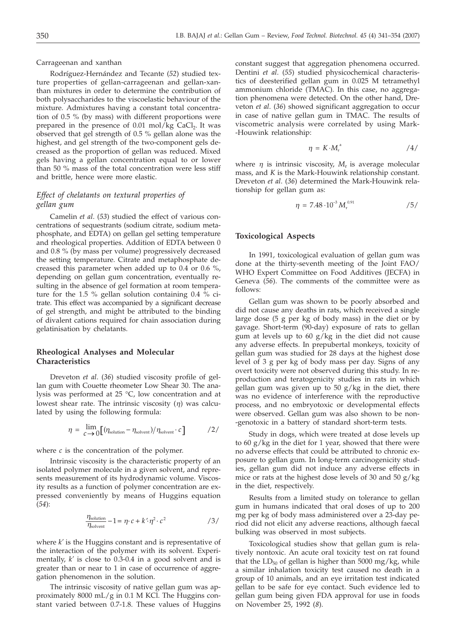Carrageenan and xanthan

Rodríguez-Hernández and Tecante (*52*) studied texture properties of gellan-carrageenan and gellan-xanthan mixtures in order to determine the contribution of both polysaccharides to the viscoelastic behaviour of the mixture. Admixtures having a constant total concentration of 0.5 % (by mass) with different proportions were prepared in the presence of  $0.01$  mol/kg CaCl<sub>2</sub>. It was observed that gel strength of 0.5 % gellan alone was the highest, and gel strength of the two-component gels decreased as the proportion of gellan was reduced. Mixed gels having a gellan concentration equal to or lower than 50 % mass of the total concentration were less stiff and brittle, hence were more elastic.

# *Effect of chelatants on textural properties of gellan gum*

Camelin *et al*. (*53*) studied the effect of various concentrations of sequestrants (sodium citrate, sodium metaphosphate, and EDTA) on gellan gel setting temperature and rheological properties. Addition of EDTA between 0 and 0.8 % (by mass per volume) progressively decreased the setting temperature. Citrate and metaphosphate decreased this parameter when added up to 0.4 or 0.6 %, depending on gellan gum concentration, eventually resulting in the absence of gel formation at room temperature for the 1.5 % gellan solution containing 0.4 % citrate. This effect was accompanied by a significant decrease of gel strength, and might be attributed to the binding of divalent cations required for chain association during gelatinisation by chelatants.

# **Rheological Analyses and Molecular Characteristics**

Dreveton *et al*. (*36*) studied viscosity profile of gellan gum with Couette rheometer Low Shear 30. The analysis was performed at 25 °C, low concentration and at lowest shear rate. The intrinsic viscosity (*h*) was calculated by using the following formula:

$$
\eta = \lim_{c \to 0} \left[ \left( \eta_{\text{solution}} - \eta_{\text{solvent}} \right) / \eta_{\text{solvent}} \cdot c \right] \tag{2/}
$$

where *c* is the concentration of the polymer.

Intrinsic viscosity is the characteristic property of an isolated polymer molecule in a given solvent, and represents measurement of its hydrodynamic volume. Viscosity results as a function of polymer concentration are expressed conveniently by means of Huggins equation (*54*):

$$
\frac{\eta_{\text{solution}}}{\eta_{\text{solvent}}} - 1 = \eta \cdot c + k' \cdot \eta^2 \cdot c^2 \tag{3/}
$$

where *k'* is the Huggins constant and is representative of the interaction of the polymer with its solvent. Experimentally, *k'* is close to 0.3-0.4 in a good solvent and is greater than or near to 1 in case of occurrence of aggregation phenomenon in the solution.

The intrinsic viscosity of native gellan gum was approximately 8000 mL/g in 0.1 M KCl. The Huggins constant varied between 0.7-1.8. These values of Huggins constant suggest that aggregation phenomena occurred. Dentini *et al*. (*55*) studied physicochemical characteristics of deesterified gellan gum in 0.025 M tetramethyl ammonium chloride (TMAC). In this case, no aggregation phenomena were detected. On the other hand, Dreveton *et al*. (*36*) showed significant aggregation to occur in case of native gellan gum in TMAC. The results of viscometric analysis were correlated by using Mark- -Houwink relationship:

$$
\eta = K \cdot M_{\rm r}^{\rm a} \tag{4/}
$$

where  $\eta$  is intrinsic viscosity,  $M_r$  is average molecular mass, and *K* is the Mark-Houwink relationship constant. Dreveton *et al*. (*36*) determined the Mark-Houwink relationship for gellan gum as:

$$
\eta = 7.48 \cdot 10^{-3} M_{\rm r}^{0.91} \tag{5}
$$

# **Toxicological Aspects**

In 1991, toxicological evaluation of gellan gum was done at the thirty-seventh meeting of the Joint FAO/ WHO Expert Committee on Food Additives (JECFA) in Geneva (*56*). The comments of the committee were as follows:

Gellan gum was shown to be poorly absorbed and did not cause any deaths in rats, which received a single large dose (5 g per kg of body mass) in the diet or by gavage. Short-term (90-day) exposure of rats to gellan gum at levels up to  $60 \frac{g}{kg}$  in the diet did not cause any adverse effects. In prepubertal monkeys, toxicity of gellan gum was studied for 28 days at the highest dose level of 3 g per kg of body mass per day. Signs of any overt toxicity were not observed during this study. In reproduction and teratogenicity studies in rats in which gellan gum was given up to 50 g/kg in the diet, there was no evidence of interference with the reproductive process, and no embryotoxic or developmental effects were observed. Gellan gum was also shown to be non- -genotoxic in a battery of standard short-term tests.

Study in dogs, which were treated at dose levels up to 60 g/kg in the diet for 1 year, showed that there were no adverse effects that could be attributed to chronic exposure to gellan gum. In long-term carcinogenicity studies, gellan gum did not induce any adverse effects in mice or rats at the highest dose levels of 30 and 50 g/kg in the diet, respectively.

Results from a limited study on tolerance to gellan gum in humans indicated that oral doses of up to 200 mg per kg of body mass administered over a 23-day period did not elicit any adverse reactions, although faecal bulking was observed in most subjects.

Toxicological studies show that gellan gum is relatively nontoxic. An acute oral toxicity test on rat found that the  $LD_{50}$  of gellan is higher than 5000 mg/kg, while a similar inhalation toxicity test caused no death in a group of 10 animals, and an eye irritation test indicated gellan to be safe for eye contact. Such evidence led to gellan gum being given FDA approval for use in foods on November 25, 1992 (*8*).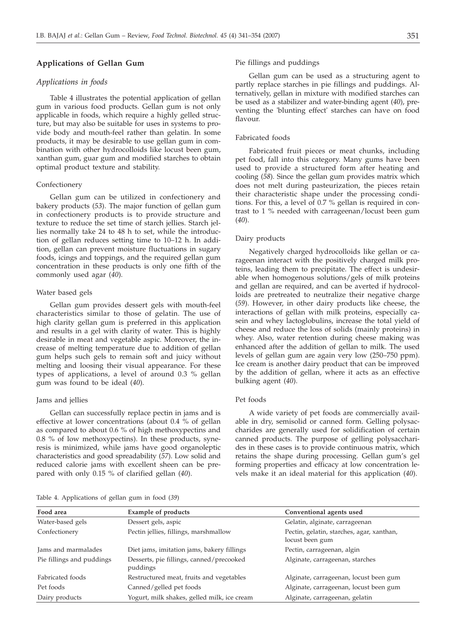# **Applications of Gellan Gum**

#### *Applications in foods*

Table 4 illustrates the potential application of gellan gum in various food products. Gellan gum is not only applicable in foods, which require a highly gelled structure, but may also be suitable for uses in systems to provide body and mouth-feel rather than gelatin. In some products, it may be desirable to use gellan gum in combination with other hydrocolloids like locust been gum, xanthan gum, guar gum and modified starches to obtain optimal product texture and stability.

# Confectionery

Gellan gum can be utilized in confectionery and bakery products (*53*). The major function of gellan gum in confectionery products is to provide structure and texture to reduce the set time of starch jellies. Starch jellies normally take 24 to 48 h to set, while the introduction of gellan reduces setting time to 10–12 h. In addition, gellan can prevent moisture fluctuations in sugary foods, icings and toppings, and the required gellan gum concentration in these products is only one fifth of the commonly used agar (*40*).

#### Water based gels

Gellan gum provides dessert gels with mouth-feel characteristics similar to those of gelatin. The use of high clarity gellan gum is preferred in this application and results in a gel with clarity of water. This is highly desirable in meat and vegetable aspic. Moreover, the increase of melting temperature due to addition of gellan gum helps such gels to remain soft and juicy without melting and loosing their visual appearance. For these types of applications, a level of around 0.3 % gellan gum was found to be ideal (*40*).

### Jams and jellies

Gellan can successfully replace pectin in jams and is effective at lower concentrations (about 0.4 % of gellan as compared to about 0.6 % of high methoxypectins and 0.8 % of low methoxypectins). In these products, syneresis is minimized, while jams have good organoleptic characteristics and good spreadability (*57*). Low solid and reduced calorie jams with excellent sheen can be prepared with only 0.15 % of clarified gellan (*40*).

# Pie fillings and puddings

Gellan gum can be used as a structuring agent to partly replace starches in pie fillings and puddings. Alternatively, gellan in mixture with modified starches can be used as a stabilizer and water-binding agent (*40*), preventing the 'blunting effect' starches can have on food flavour.

### Fabricated foods

Fabricated fruit pieces or meat chunks, including pet food, fall into this category. Many gums have been used to provide a structured form after heating and cooling (*58*). Since the gellan gum provides matrix which does not melt during pasteurization, the pieces retain their characteristic shape under the processing conditions. For this, a level of 0.7 % gellan is required in contrast to 1 % needed with carrageenan/locust been gum (*40*).

### Dairy products

Negatively charged hydrocolloids like gellan or carageenan interact with the positively charged milk proteins, leading them to precipitate. The effect is undesirable when homogenous solutions/gels of milk proteins and gellan are required, and can be averted if hydrocolloids are pretreated to neutralize their negative charge (*59*). However, in other dairy products like cheese, the interactions of gellan with milk proteins, especially casein and whey lactoglobulins, increase the total yield of cheese and reduce the loss of solids (mainly proteins) in whey. Also, water retention during cheese making was enhanced after the addition of gellan to milk. The used levels of gellan gum are again very low (250–750 ppm). Ice cream is another dairy product that can be improved by the addition of gellan, where it acts as an effective bulking agent (*40*).

# Pet foods

A wide variety of pet foods are commercially available in dry, semisolid or canned form. Gelling polysaccharides are generally used for solidification of certain canned products. The purpose of gelling polysaccharides in these cases is to provide continuous matrix, which retains the shape during processing. Gellan gum's gel forming properties and efficacy at low concentration levels make it an ideal material for this application (*40*).

|  | Table 4. Applications of gellan gum in food (39) |  |  |  |
|--|--------------------------------------------------|--|--|--|
|  |                                                  |  |  |  |

| Food area                 | <b>Example of products</b>                           | Conventional agents used                                     |
|---------------------------|------------------------------------------------------|--------------------------------------------------------------|
| Water-based gels          | Dessert gels, aspic                                  | Gelatin, alginate, carrageenan                               |
| Confectionery             | Pectin jellies, fillings, marshmallow                | Pectin, gelatin, starches, agar, xanthan,<br>locust been gum |
| Jams and marmalades       | Diet jams, imitation jams, bakery fillings           | Pectin, carrageenan, algin                                   |
| Pie fillings and puddings | Desserts, pie fillings, canned/precooked<br>puddings | Alginate, carrageenan, starches                              |
| Fabricated foods          | Restructured meat, fruits and vegetables             | Alginate, carrageenan, locust been gum                       |
| Pet foods                 | Canned/gelled pet foods                              | Alginate, carrageenan, locust been gum                       |
| Dairy products            | Yogurt, milk shakes, gelled milk, ice cream          | Alginate, carrageenan, gelatin                               |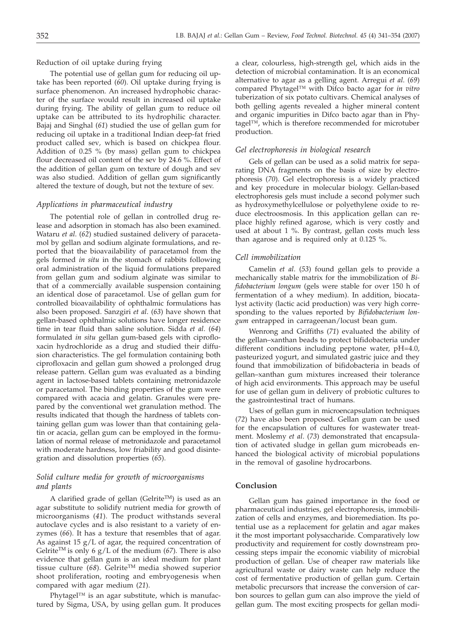Reduction of oil uptake during frying

The potential use of gellan gum for reducing oil uptake has been reported (*60*). Oil uptake during frying is surface phenomenon. An increased hydrophobic character of the surface would result in increased oil uptake during frying. The ability of gellan gum to reduce oil uptake can be attributed to its hydrophilic character. Bajaj and Singhal (*61*) studied the use of gellan gum for reducing oil uptake in a traditional Indian deep-fat fried product called sev*,* which is based on chickpea flour. Addition of 0.25 % (by mass) gellan gum to chickpea flour decreased oil content of the sev by 24.6 %. Effect of the addition of gellan gum on texture of dough and sev was also studied. Addition of gellan gum significantly altered the texture of dough, but not the texture of sev.

# *Applications in pharmaceutical industry*

The potential role of gellan in controlled drug release and adsorption in stomach has also been examined. Wataru *et al*. (*62*) studied sustained delivery of paracetamol by gellan and sodium alginate formulations, and reported that the bioavailability of paracetamol from the gels formed *in situ* in the stomach of rabbits following oral administration of the liquid formulations prepared from gellan gum and sodium alginate was similar to that of a commercially available suspension containing an identical dose of paracetamol. Use of gellan gum for controlled bioavailability of ophthalmic formulations has also been proposed. Sanzgiri *et al*. (*63*) have shown that gellan-based ophthalmic solutions have longer residence time in tear fluid than saline solution. Sidda *et al*. (*64*) formulated *in situ* gellan gum-based gels with ciprofloxacin hydrochloride as a drug and studied their diffusion characteristics. The gel formulation containing both ciprofloxacin and gellan gum showed a prolonged drug release pattern. Gellan gum was evaluated as a binding agent in lactose-based tablets containing metronidazole or paracetamol. The binding properties of the gum were compared with acacia and gelatin. Granules were prepared by the conventional wet granulation method. The results indicated that though the hardness of tablets containing gellan gum was lower than that containing gelatin or acacia, gellan gum can be employed in the formulation of normal release of metronidazole and paracetamol with moderate hardness, low friability and good disintegration and dissolution properties (*65*).

# *Solid culture media for growth of microorganisms and plants*

A clarified grade of gellan (Gelrite<sup>TM</sup>) is used as an agar substitute to solidify nutrient media for growth of microorganisms (*41*). The product withstands several autoclave cycles and is also resistant to a variety of enzymes (*66*). It has a texture that resembles that of agar. As against 15 g/L of agar, the required concentration of Gelrite<sup>TM</sup> is only 6 g/L of the medium (67). There is also evidence that gellan gum is an ideal medium for plant tissue culture (*68*). GelriteTM media showed superior shoot proliferation, rooting and embryogenesis when compared with agar medium (*21*).

Phytagel™ is an agar substitute, which is manufactured by Sigma, USA, by using gellan gum. It produces a clear, colourless, high-strength gel, which aids in the detection of microbial contamination. It is an economical alternative to agar as a gelling agent. Arregui *et al*. (*69*) compared Phytagel™ with Difco bacto agar for *in vitro* tuberization of six potato cultivars. Chemical analyses of both gelling agents revealed a higher mineral content and organic impurities in Difco bacto agar than in Phytagel™, which is therefore recommended for microtuber production.

# *Gel electrophoresis in biological research*

Gels of gellan can be used as a solid matrix for separating DNA fragments on the basis of size by electrophoresis (*70*). Gel electrophoresis is a widely practiced and key procedure in molecular biology. Gellan-based electrophoresis gels must include a second polymer such as hydroxymethylcellulose or polyethylene oxide to reduce electroosmosis. In this application gellan can replace highly refined agarose, which is very costly and used at about 1 %. By contrast, gellan costs much less than agarose and is required only at 0.125 %.

### *Cell immobilization*

Camelin *et al*. (*53*) found gellan gels to provide a mechanically stable matrix for the immobilization of *Bifidobacterium longum* (gels were stable for over 150 h of fermentation of a whey medium). In addition, biocatalyst activity (lactic acid production) was very high corresponding to the values reported by *Bifidobacterium longum* entrapped in carrageenan/locust bean gum.

Wenrong and Griffiths (*71*) evaluated the ability of the gellan–xanthan beads to protect bifidobacteria under different conditions including peptone water, pH=4.0, pasteurized yogurt, and simulated gastric juice and they found that immobilization of bifidobacteria in beads of gellan–xanthan gum mixtures increased their tolerance of high acid environments. This approach may be useful for use of gellan gum in delivery of probiotic cultures to the gastrointestinal tract of humans.

Uses of gellan gum in microencapsulation techniques (*72*) have also been proposed. Gellan gum can be used for the encapsulation of cultures for wastewater treatment. Moslemy *et al*. (*73*) demonstrated that encapsulation of activated sludge in gellan gum microbeads enhanced the biological activity of microbial populations in the removal of gasoline hydrocarbons.

### **Conclusion**

Gellan gum has gained importance in the food or pharmaceutical industries, gel electrophoresis, immobilization of cells and enzymes, and bioremediation. Its potential use as a replacement for gelatin and agar makes it the most important polysaccharide. Comparatively low productivity and requirement for costly downstream processing steps impair the economic viability of microbial production of gellan. Use of cheaper raw materials like agricultural waste or dairy waste can help reduce the cost of fermentative production of gellan gum. Certain metabolic precursors that increase the conversion of carbon sources to gellan gum can also improve the yield of gellan gum. The most exciting prospects for gellan modi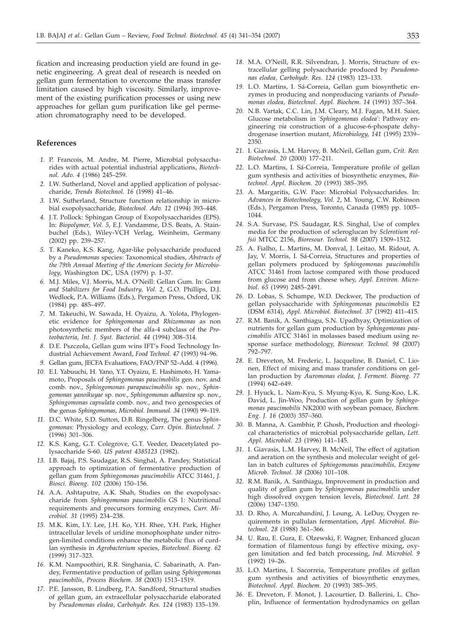fication and increasing production yield are found in genetic engineering. A great deal of research is needed on gellan gum fermentation to overcome the mass transfer limitation caused by high viscosity. Similarly, improvement of the existing purification processes or using new approaches for gellan gum purification like gel permeation chromatography need to be developed.

### **References**

- *1.* P. Francois, M. Andre, M. Pierre, Microbial polysaccharides with actual potential industrial applications, *Biotechnol. Adv. 4* (1986) 245–259.
- *2.* I.W. Sutherland, Novel and applied application of polysaccharide, *Trends Biotechnol. 16* (1998) 41–46.
- *3.* I.W. Sutherland, Structure function relationship in microbial exopolysaccharide, *Biotechnol. Adv. 12* (1994) 393–448.
- *4.* J.T. Pollock: Sphingan Group of Exopolysaccharides (EPS). In: *Biopolymer, Vol. 5*, E.J. Vandamme, D.S. Beats, A. Stainbuchel (Eds.), Wiley-VCH Verlag, Weinheim, Germany (2002) pp. 239–257.
- *5.* T. Kaneko, K.S. Kang, Agar-like polysaccharide produced by a *Pseudomonas* species: Taxonomical studies, *Abstracts of the 79th Annual Meeting of the American Society for Microbiology*, Washington DC, USA (1979) p. I–37.
- *6.* M.J. Miles, V.J. Morris, M.A. O'Neill: Gellan Gum. In: *Gums and Stabilizers for Food Industry, Vol. 2*, G.O. Phillips, D.J. Wedlock, P.A. Williams (Eds.), Pergamon Press, Oxford, UK (1984) pp. 485–497.
- *7.* M. Takeuchi, W. Sawada, H. Oyaizu, A. Yolota, Phylogenetic evidence for *Sphingomonas* and *Rhizomonas* as non photosynthetic members of the alfa-4 subclass of the *Proteobacteria*, *Int. J. Syst. Bacteriol. 44* (1994) 308–314.
- *8.* D.E. Pszczola, Gellan gum wins IFT's Food Technology Industrial Achievement Award, *Food Technol. 47* (1993) 94–96.
- *9.* Gellan gum, JECFA Evaluations, FAO/FNP 52–Add. 4 (1996).
- *10.* E.I. Yabuuchi, H. Yano, Y.T. Oyaizu, E. Hashimoto, H. Yamamoto, Proposals of *Sphingomonas paucimobilis* gen. nov. and comb. nov., *Sphingomonas parapaucimobilis* sp. nov., *Sphingomonas yanoikuyae* sp. nov., *Sphingomonas adhaesiva* sp. nov., *Sphingomonas capsulata* comb. nov., and two genospecies of the genus *Sphingomonas*, *Microbiol. Immunol. 34* (1990) 99–119.
- *11.* D.C. White, S.D. Sutton, D.B. Ringelberg, The genus *Sphingomonas*: Physiology and ecology, *Curr. Opin. Biotechnol. 7* (1996) 301–306.
- *12.* K.S. Kang, G.T. Colegrove, G.T. Veeder, Deacetylated polysaccharide S-60. *US patent 4385123* (1982).
- *13.* I.B. Bajaj, P.S. Saudagar, R.S. Singhal, A. Pandey, Statistical approach to optimization of fermentative production of gellan gum from *Sphingomonas paucimobilis* ATCC 31461, *J. Biosci. Bioeng. 102* (2006) 150–156.
- *14.* A.A. Ashtaputre, A.K. Shah, Studies on the exopolysaccharide from *Sphingomonas paucimobilis* GS 1: Nutritional requirements and precursors forming enzymes, *Curr. Microbiol. 31* (1995) 234–238.
- *15.* M.K. Kim, I.Y. Lee, J.H. Ko, Y.H. Rhee, Y.H. Park, Higher intracellular levels of uridine monophosphate under nitrogen-limited conditions enhance the metabolic flux of curdlan synthesis in *Agrobacterium* species, *Biotechnol. Bioeng. 62* (1999) 317–323.
- *16.* K.M. Nampoothiri, R.R. Singhania, C. Sabarinath, A. Pandey, Fermentative production of gellan using *Sphingomonas paucimobilis*, *Process Biochem. 38* (2003) 1513–1519.
- *17.* P.E. Jansson, B. Lindberg, P.A. Sandford, Structural studies of gellan gum, an extracellular polysaccharide elaborated by *Pseudomonas elodea*, *Carbohydr. Res. 124* (1983) 135–139.
- *18.* M.A. O'Neill, R.R. Silvendran, J. Morris, Structure of extracellular gelling polysaccharide produced by *Pseudomonas elodea, Carbohydr. Res. 124* (1983) 123–133.
- *19.* L.O. Martins, I. Sá-Correia, Gellan gum biosynthetic enzymes in producing and nonproducing variants of *Pseudomonas elodea, Biotechnol. Appl. Biochem. 14* (1991) 357–364.
- *20.* N.B. Vartak, C.C. Lin, J.M. Cleary, M.J. Fagan, M.H. Saier, Glucose metabolism in '*Sphingomonas elodea*': Pathway engineering *via* construction of a glucose-6-phospate dehydrogenase insertion mutant, *Microbiology, 141* (1995) 2339– 2350.
- *21.* I. Giavasis, L.M. Harvey, B. McNeil, Gellan gum, *Crit. Rev. Biotechnol. 20* (2000) 177–211.
- *22.* L.O. Martins, I. Sá-Correia, Temperature profile of gellan gum synthesis and activities of biosynthetic enzymes, *Biotechnol. Appl. Biochem. 20* (1993) 385–395.
- *23.* A. Margaritis, G.W. Pace: Microbial Polysaccharides. In: *Advances in Biotechnology, Vol. 2*, M. Young, C.W. Robinson (Eds.), Pergamon Press, Toronto, Canada (1985) pp. 1005– 1044.
- *24.* S.A. Survase, P.S. Saudagar, R.S. Singhal, Use of complex media for the production of scleroglucan by *Sclerotium rolfsii* MTCC 2156, *Bioresour. Technol. 98* (2007) 1509–1512.
- *25.* A. Fialho, L. Martins, M. Donval, J. Leitao, M. Ridout, A. Jay, V. Morris, I. Sá-Correia, Structures and properties of gellan polymers produced by *Sphingomonas paucimobilis* ATCC 31461 from lactose compared with those produced from glucose and from cheese whey, *Appl. Environ. Microbiol. 65* (1999) 2485–2491.
- *26.* D. Lobas, S. Schumpe, W.D. Deckwer, The production of gellan polysaccharide with *Sphingomonas paucimobilis* E2 (DSM 6314), *Appl. Microbiol. Biotechnol. 37* (1992) 411–415.
- *27.* R.M. Banik, A. Santhiagu, S.N. Upadhyay, Optimization of nutrients for gellan gum production by *Sphingomonas paucimobilis* ATCC 31461 in molasses based medium using response surface methodology, *Bioresour. Technol. 98* (2007) 792–797.
- *28.* E. Dreveton, M. Frederic, L. Jacqueline, B. Daniel, C. Lionen, Effect of mixing and mass transfer conditions on gellan production by *Auromonas elodea, J. Ferment. Bioeng. 77* (1994) 642–649.
- *29.* J. Hyuck, L. Nam-Kyu, S. Myung-Kyo, K. Sung-Koo, L.K. David, L. Jin-Woo, Production of gellan gum by *Sphingomonas paucimobilis* NK2000 with soybean pomace, *Biochem. Eng. J. 16* (2003) 357–360.
- *30.* B. Manna, A. Gambhir, P. Ghosh, Production and rheological characteristics of microbial polysaccharide gellan, *Lett. Appl. Microbiol. 23* (1996) 141–145.
- *31.* I. Giavasis, L.M. Harvey, B. McNeil, The effect of agitation and aeration on the synthesis and molecular weight of gellan in batch cultures of *Sphingomonas paucimobilis, Enzyme Microb. Technol. 38* (2006) 101–108.
- *32.* R.M. Banik, A. Santhiagu, Improvement in production and quality of gellan gum by *Sphingomonas paucimobilis* under high dissolved oxygen tension levels, *Biotechnol. Lett. 28* (2006) 1347–1350.
- *33.* D. Rho, A. Murcahandini, J. Loung, A. LeDuy, Oxygen requirements in pullulan fermentation, *Appl. Microbiol. Biotechnol. 28* (1988) 361–366.
- *34.* U. Rau, E. Gura, E. Olzewski, F. Wagner, Enhanced glucan formation of filamentous fungi by effective mixing, oxygen limitation and fed batch processing, *Ind. Microbiol. 9* (1992) 19–26.
- *35.* L.O. Martins, I. Sacorreia, Temperature profiles of gellan gum synthesis and activities of biosynthetic enzymes, *Biotechnol. Appl. Biochem. 20* (1993) 385–395.
- *36.* E. Dreveton, F. Monot, J. Lacourtier, D. Ballerini, L. Choplin, Influence of fermentation hydrodynamics on gellan